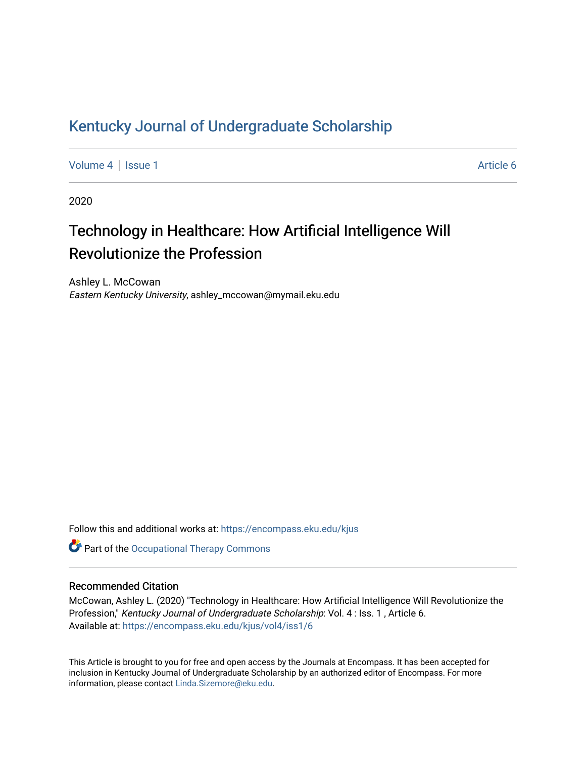## [Kentucky Journal of Undergraduate Scholarship](https://encompass.eku.edu/kjus)

[Volume 4](https://encompass.eku.edu/kjus/vol4) | [Issue 1](https://encompass.eku.edu/kjus/vol4/iss1) Article 6

2020

# Technology in Healthcare: How Artificial Intelligence Will Revolutionize the Profession

Ashley L. McCowan Eastern Kentucky University, ashley\_mccowan@mymail.eku.edu

Follow this and additional works at: [https://encompass.eku.edu/kjus](https://encompass.eku.edu/kjus?utm_source=encompass.eku.edu%2Fkjus%2Fvol4%2Fiss1%2F6&utm_medium=PDF&utm_campaign=PDFCoverPages) 

**Part of the Occupational Therapy Commons** 

## Recommended Citation

McCowan, Ashley L. (2020) "Technology in Healthcare: How Artificial Intelligence Will Revolutionize the Profession," Kentucky Journal of Undergraduate Scholarship: Vol. 4 : Iss. 1 , Article 6. Available at: [https://encompass.eku.edu/kjus/vol4/iss1/6](https://encompass.eku.edu/kjus/vol4/iss1/6?utm_source=encompass.eku.edu%2Fkjus%2Fvol4%2Fiss1%2F6&utm_medium=PDF&utm_campaign=PDFCoverPages)

This Article is brought to you for free and open access by the Journals at Encompass. It has been accepted for inclusion in Kentucky Journal of Undergraduate Scholarship by an authorized editor of Encompass. For more information, please contact [Linda.Sizemore@eku.edu.](mailto:Linda.Sizemore@eku.edu)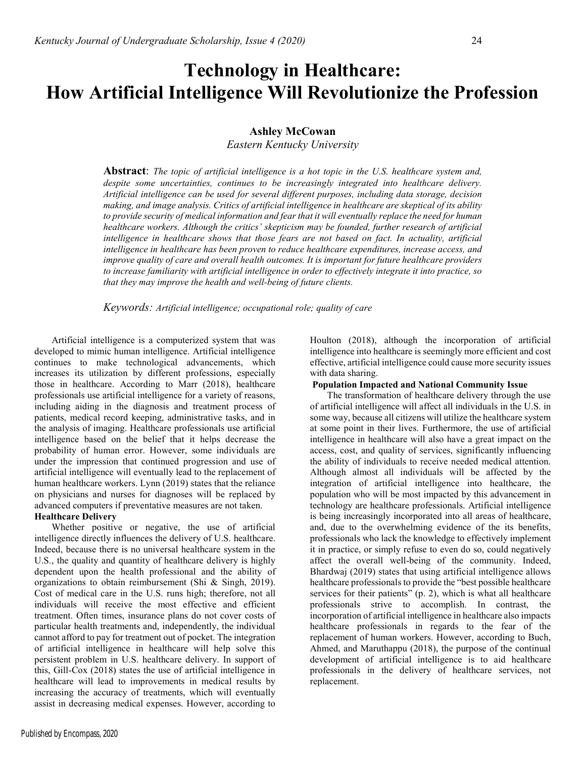## Ashley McCowan

Eastern Kentucky University

**Abstract**: The topic of artificial intelligence is a hot topic in the U.S. healthcare system and, despite some uncertainties, continues to be increasingly integrated into healthcare delivery. Artificial intelligence can be used for several different purposes, including data storage, decision making, and image analysis. Critics of artificial intelligence in healthcare are skeptical of its ability to provide security of medical information and fear that it will eventually replace the need for human healthcare workers. Although the critics' skepticism may be founded, further research of artificial intelligence in healthcare shows that those fears are not based on fact. In actuality, artificial intelligence in healthcare has been proven to reduce healthcare expenditures, increase access, and improve quality of care and overall health outcomes. It is important for future healthcare providers to increase familiarity with artificial intelligence in order to effectively integrate it into practice, so that they may improve the health and well-being of future clients.

Keywords: Artificial intelligence; occupational role; quality of care

Artificial intelligence is a computerized system that was developed to mimic human intelligence. Artificial intelligence continues to make technological advancements, which increases its utilization by different professions, especially those in healthcare. According to Marr (2018), healthcare professionals use artificial intelligence for a variety of reasons, including aiding in the diagnosis and treatment process of patients, medical record keeping, administrative tasks, and in the analysis of imaging. Healthcare professionals use artificial intelligence based on the belief that it helps decrease the probability of human error. However, some individuals are under the impression that continued progression and use of artificial intelligence will eventually lead to the replacement of human healthcare workers. Lynn (2019) states that the reliance on physicians and nurses for diagnoses will be replaced by advanced computers if preventative measures are not taken.

## Healthcare Delivery

Whether positive or negative, the use of artificial intelligence directly influences the delivery of U.S. healthcare. Indeed, because there is no universal healthcare system in the U.S., the quality and quantity of healthcare delivery is highly dependent upon the health professional and the ability of organizations to obtain reimbursement (Shi & Singh, 2019). Cost of medical care in the U.S. runs high; therefore, not all individuals will receive the most effective and efficient treatment. Often times, insurance plans do not cover costs of particular health treatments and, independently, the individual cannot afford to pay for treatment out of pocket. The integration of artificial intelligence in healthcare will help solve this persistent problem in U.S. healthcare delivery. In support of this, Gill-Cox (2018) states the use of artificial intelligence in healthcare will lead to improvements in medical results by increasing the accuracy of treatments, which will eventually assist in decreasing medical expenses. However, according to Houlton (2018), although the incorporation of artificial intelligence into healthcare is seemingly more efficient and cost effective, artificial intelligence could cause more security issues with data sharing.

## Population Impacted and National Community Issue

The transformation of healthcare delivery through the use of artificial intelligence will affect all individuals in the U.S. in some way, because all citizens will utilize the healthcare system at some point in their lives. Furthermore, the use of artificial intelligence in healthcare will also have a great impact on the access, cost, and quality of services, significantly influencing the ability of individuals to receive needed medical attention. Although almost all individuals will be affected by the integration of artificial intelligence into healthcare, the population who will be most impacted by this advancement in technology are healthcare professionals. Artificial intelligence is being increasingly incorporated into all areas of healthcare, and, due to the overwhelming evidence of the its benefits, professionals who lack the knowledge to effectively implement it in practice, or simply refuse to even do so, could negatively affect the overall well-being of the community. Indeed, Bhardwaj (2019) states that using artificial intelligence allows healthcare professionals to provide the "best possible healthcare services for their patients" (p. 2), which is what all healthcare professionals strive to accomplish. In contrast, the incorporation of artificial intelligence in healthcare also impacts healthcare professionals in regards to the fear of the replacement of human workers. However, according to Buch, Ahmed, and Maruthappu (2018), the purpose of the continual development of artificial intelligence is to aid healthcare professionals in the delivery of healthcare services, not replacement.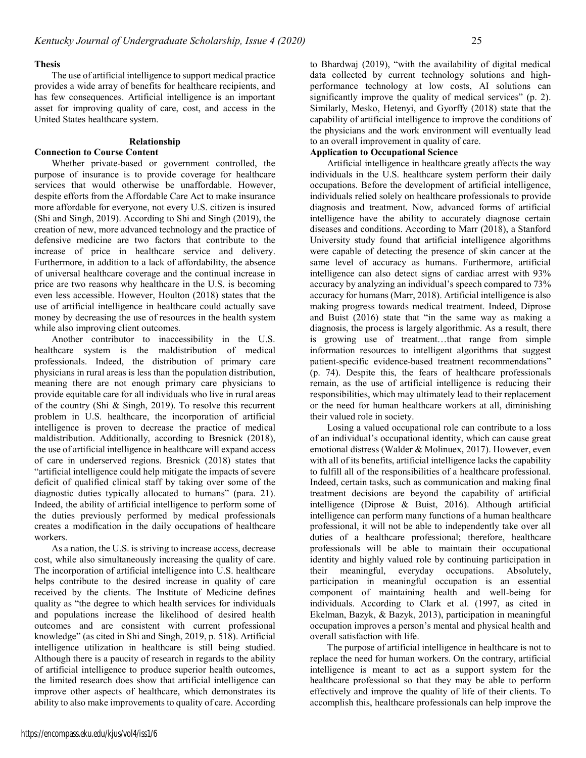#### Thesis

The use of artificial intelligence to support medical practice provides a wide array of benefits for healthcare recipients, and has few consequences. Artificial intelligence is an important asset for improving quality of care, cost, and access in the United States healthcare system.

#### Relationship

### Connection to Course Content

Whether private-based or government controlled, the purpose of insurance is to provide coverage for healthcare services that would otherwise be unaffordable. However, despite efforts from the Affordable Care Act to make insurance more affordable for everyone, not every U.S. citizen is insured (Shi and Singh, 2019). According to Shi and Singh (2019), the creation of new, more advanced technology and the practice of defensive medicine are two factors that contribute to the increase of price in healthcare service and delivery. Furthermore, in addition to a lack of affordability, the absence of universal healthcare coverage and the continual increase in price are two reasons why healthcare in the U.S. is becoming even less accessible. However, Houlton (2018) states that the use of artificial intelligence in healthcare could actually save money by decreasing the use of resources in the health system while also improving client outcomes.

Another contributor to inaccessibility in the U.S. healthcare system is the maldistribution of medical professionals. Indeed, the distribution of primary care physicians in rural areas is less than the population distribution, meaning there are not enough primary care physicians to provide equitable care for all individuals who live in rural areas of the country (Shi & Singh, 2019). To resolve this recurrent problem in U.S. healthcare, the incorporation of artificial intelligence is proven to decrease the practice of medical maldistribution. Additionally, according to Bresnick (2018), the use of artificial intelligence in healthcare will expand access of care in underserved regions. Bresnick (2018) states that "artificial intelligence could help mitigate the impacts of severe deficit of qualified clinical staff by taking over some of the diagnostic duties typically allocated to humans" (para. 21). Indeed, the ability of artificial intelligence to perform some of the duties previously performed by medical professionals creates a modification in the daily occupations of healthcare workers.

As a nation, the U.S. is striving to increase access, decrease cost, while also simultaneously increasing the quality of care. The incorporation of artificial intelligence into U.S. healthcare helps contribute to the desired increase in quality of care received by the clients. The Institute of Medicine defines quality as "the degree to which health services for individuals and populations increase the likelihood of desired health outcomes and are consistent with current professional knowledge" (as cited in Shi and Singh, 2019, p. 518). Artificial intelligence utilization in healthcare is still being studied. Although there is a paucity of research in regards to the ability of artificial intelligence to produce superior health outcomes, the limited research does show that artificial intelligence can improve other aspects of healthcare, which demonstrates its ability to also make improvements to quality of care. According

https://encompass.eku.edu/kjus/vol4/iss1/6

to Bhardwaj (2019), "with the availability of digital medical data collected by current technology solutions and highperformance technology at low costs, AI solutions can significantly improve the quality of medical services" (p. 2). Similarly, Mesko, Hetenyi, and Gyorffy (2018) state that the capability of artificial intelligence to improve the conditions of the physicians and the work environment will eventually lead to an overall improvement in quality of care.

## Application to Occupational Science

Artificial intelligence in healthcare greatly affects the way individuals in the U.S. healthcare system perform their daily occupations. Before the development of artificial intelligence, individuals relied solely on healthcare professionals to provide diagnosis and treatment. Now, advanced forms of artificial intelligence have the ability to accurately diagnose certain diseases and conditions. According to Marr (2018), a Stanford University study found that artificial intelligence algorithms were capable of detecting the presence of skin cancer at the same level of accuracy as humans. Furthermore, artificial intelligence can also detect signs of cardiac arrest with 93% accuracy by analyzing an individual's speech compared to 73% accuracy for humans (Marr, 2018). Artificial intelligence is also making progress towards medical treatment. Indeed, Diprose and Buist (2016) state that "in the same way as making a diagnosis, the process is largely algorithmic. As a result, there is growing use of treatment…that range from simple information resources to intelligent algorithms that suggest patient-specific evidence-based treatment recommendations" (p. 74). Despite this, the fears of healthcare professionals remain, as the use of artificial intelligence is reducing their responsibilities, which may ultimately lead to their replacement or the need for human healthcare workers at all, diminishing their valued role in society.

Losing a valued occupational role can contribute to a loss of an individual's occupational identity, which can cause great emotional distress (Walder & Molinuex, 2017). However, even with all of its benefits, artificial intelligence lacks the capability to fulfill all of the responsibilities of a healthcare professional. Indeed, certain tasks, such as communication and making final treatment decisions are beyond the capability of artificial intelligence (Diprose & Buist, 2016). Although artificial intelligence can perform many functions of a human healthcare professional, it will not be able to independently take over all duties of a healthcare professional; therefore, healthcare professionals will be able to maintain their occupational identity and highly valued role by continuing participation in their meaningful, everyday occupations. Absolutely, participation in meaningful occupation is an essential component of maintaining health and well-being for individuals. According to Clark et al. (1997, as cited in Ekelman, Bazyk, & Bazyk, 2013), participation in meaningful occupation improves a person's mental and physical health and overall satisfaction with life.

The purpose of artificial intelligence in healthcare is not to replace the need for human workers. On the contrary, artificial intelligence is meant to act as a support system for the healthcare professional so that they may be able to perform effectively and improve the quality of life of their clients. To accomplish this, healthcare professionals can help improve the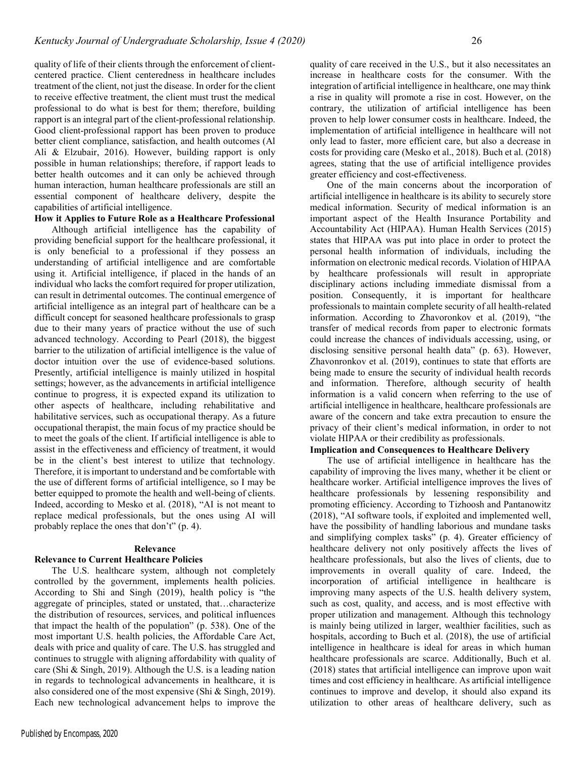quality of life of their clients through the enforcement of clientcentered practice. Client centeredness in healthcare includes treatment of the client, not just the disease. In order for the client to receive effective treatment, the client must trust the medical professional to do what is best for them; therefore, building rapport is an integral part of the client-professional relationship. Good client-professional rapport has been proven to produce better client compliance, satisfaction, and health outcomes (Al Ali & Elzubair, 2016). However, building rapport is only possible in human relationships; therefore, if rapport leads to better health outcomes and it can only be achieved through human interaction, human healthcare professionals are still an essential component of healthcare delivery, despite the capabilities of artificial intelligence.

## How it Applies to Future Role as a Healthcare Professional

Although artificial intelligence has the capability of providing beneficial support for the healthcare professional, it is only beneficial to a professional if they possess an understanding of artificial intelligence and are comfortable using it. Artificial intelligence, if placed in the hands of an individual who lacks the comfort required for proper utilization, can result in detrimental outcomes. The continual emergence of artificial intelligence as an integral part of healthcare can be a difficult concept for seasoned healthcare professionals to grasp due to their many years of practice without the use of such advanced technology. According to Pearl (2018), the biggest barrier to the utilization of artificial intelligence is the value of doctor intuition over the use of evidence-based solutions. Presently, artificial intelligence is mainly utilized in hospital settings; however, as the advancements in artificial intelligence continue to progress, it is expected expand its utilization to other aspects of healthcare, including rehabilitative and habilitative services, such as occupational therapy. As a future occupational therapist, the main focus of my practice should be to meet the goals of the client. If artificial intelligence is able to assist in the effectiveness and efficiency of treatment, it would be in the client's best interest to utilize that technology. Therefore, it is important to understand and be comfortable with the use of different forms of artificial intelligence, so I may be better equipped to promote the health and well-being of clients. Indeed, according to Mesko et al. (2018), "AI is not meant to replace medical professionals, but the ones using AI will probably replace the ones that don't" (p. 4).

#### Relevance

#### Relevance to Current Healthcare Policies

The U.S. healthcare system, although not completely controlled by the government, implements health policies. According to Shi and Singh (2019), health policy is "the aggregate of principles, stated or unstated, that…characterize the distribution of resources, services, and political influences that impact the health of the population" (p. 538). One of the most important U.S. health policies, the Affordable Care Act, deals with price and quality of care. The U.S. has struggled and continues to struggle with aligning affordability with quality of care (Shi & Singh, 2019). Although the U.S. is a leading nation in regards to technological advancements in healthcare, it is also considered one of the most expensive (Shi & Singh, 2019). Each new technological advancement helps to improve the quality of care received in the U.S., but it also necessitates an increase in healthcare costs for the consumer. With the integration of artificial intelligence in healthcare, one may think a rise in quality will promote a rise in cost. However, on the contrary, the utilization of artificial intelligence has been proven to help lower consumer costs in healthcare. Indeed, the implementation of artificial intelligence in healthcare will not only lead to faster, more efficient care, but also a decrease in costs for providing care (Mesko et al., 2018). Buch et al. (2018) agrees, stating that the use of artificial intelligence provides greater efficiency and cost-effectiveness.

One of the main concerns about the incorporation of artificial intelligence in healthcare is its ability to securely store medical information. Security of medical information is an important aspect of the Health Insurance Portability and Accountability Act (HIPAA). Human Health Services (2015) states that HIPAA was put into place in order to protect the personal health information of individuals, including the information on electronic medical records. Violation of HIPAA by healthcare professionals will result in appropriate disciplinary actions including immediate dismissal from a position. Consequently, it is important for healthcare professionals to maintain complete security of all health-related information. According to Zhavoronkov et al. (2019), "the transfer of medical records from paper to electronic formats could increase the chances of individuals accessing, using, or disclosing sensitive personal health data" (p. 63). However, Zhavonronkov et al. (2019), continues to state that efforts are being made to ensure the security of individual health records and information. Therefore, although security of health information is a valid concern when referring to the use of artificial intelligence in healthcare, healthcare professionals are aware of the concern and take extra precaution to ensure the privacy of their client's medical information, in order to not violate HIPAA or their credibility as professionals.

#### Implication and Consequences to Healthcare Delivery

The use of artificial intelligence in healthcare has the capability of improving the lives many, whether it be client or healthcare worker. Artificial intelligence improves the lives of healthcare professionals by lessening responsibility and promoting efficiency. According to Tizhoosh and Pantanowitz (2018), "AI software tools, if exploited and implemented well, have the possibility of handling laborious and mundane tasks and simplifying complex tasks" (p. 4). Greater efficiency of healthcare delivery not only positively affects the lives of healthcare professionals, but also the lives of clients, due to improvements in overall quality of care. Indeed, the incorporation of artificial intelligence in healthcare is improving many aspects of the U.S. health delivery system, such as cost, quality, and access, and is most effective with proper utilization and management. Although this technology is mainly being utilized in larger, wealthier facilities, such as hospitals, according to Buch et al. (2018), the use of artificial intelligence in healthcare is ideal for areas in which human healthcare professionals are scarce. Additionally, Buch et al. (2018) states that artificial intelligence can improve upon wait times and cost efficiency in healthcare. As artificial intelligence continues to improve and develop, it should also expand its utilization to other areas of healthcare delivery, such as